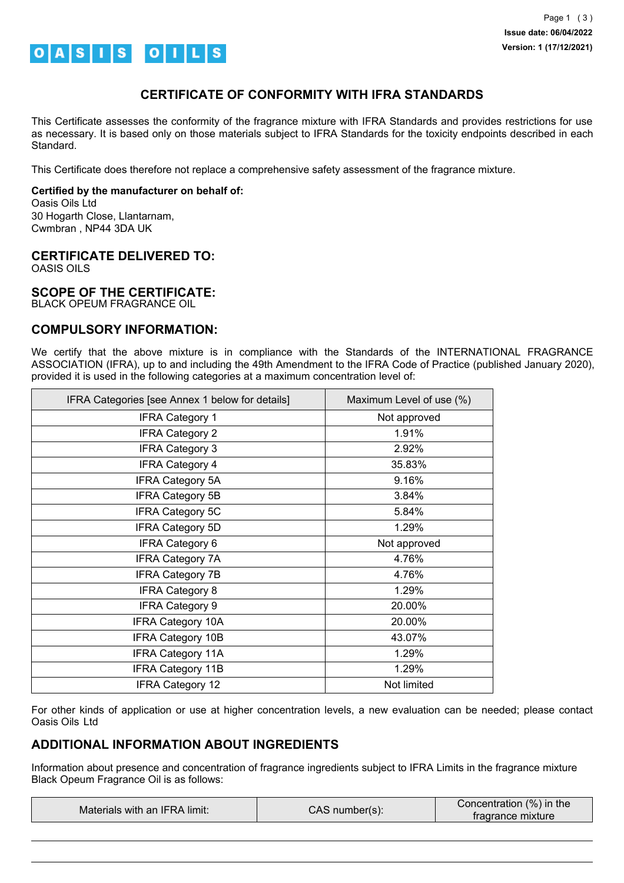

## **CERTIFICATE OF CONFORMITY WITH IFRA STANDARDS**

This Certificate assesses the conformity of the fragrance mixture with IFRA Standards and provides restrictions for use as necessary. It is based only on those materials subject to IFRA Standards for the toxicity endpoints described in each Standard.

This Certificate does therefore not replace a comprehensive safety assessment of the fragrance mixture.

#### **Certified by the manufacturer on behalf of:**

Oasis Oils Ltd 30 Hogarth Close, Llantarnam, Cwmbran , NP44 3DA UK

### **CERTIFICATE DELIVERED TO:**

OASIS OILS

### **SCOPE OF THE CERTIFICATE:**

BLACK OPEUM FRAGRANCE OIL

## **COMPULSORY INFORMATION:**

We certify that the above mixture is in compliance with the Standards of the INTERNATIONAL FRAGRANCE ASSOCIATION (IFRA), up to and including the 49th Amendment to the IFRA Code of Practice (published January 2020), provided it is used in the following categories at a maximum concentration level of:

| IFRA Categories [see Annex 1 below for details] | Maximum Level of use (%) |
|-------------------------------------------------|--------------------------|
| <b>IFRA Category 1</b>                          | Not approved             |
| <b>IFRA Category 2</b>                          | 1.91%                    |
| <b>IFRA Category 3</b>                          | 2.92%                    |
| <b>IFRA Category 4</b>                          | 35.83%                   |
| <b>IFRA Category 5A</b>                         | 9.16%                    |
| <b>IFRA Category 5B</b>                         | 3.84%                    |
| <b>IFRA Category 5C</b>                         | 5.84%                    |
| <b>IFRA Category 5D</b>                         | 1.29%                    |
| <b>IFRA Category 6</b>                          | Not approved             |
| <b>IFRA Category 7A</b>                         | 4.76%                    |
| <b>IFRA Category 7B</b>                         | 4.76%                    |
| <b>IFRA Category 8</b>                          | 1.29%                    |
| <b>IFRA Category 9</b>                          | 20.00%                   |
| <b>IFRA Category 10A</b>                        | 20.00%                   |
| <b>IFRA Category 10B</b>                        | 43.07%                   |
| <b>IFRA Category 11A</b>                        | 1.29%                    |
| <b>IFRA Category 11B</b>                        | 1.29%                    |
| <b>IFRA Category 12</b>                         | Not limited              |

For other kinds of application or use at higher concentration levels, a new evaluation can be needed; please contact Oasis Oils Ltd

# **ADDITIONAL INFORMATION ABOUT INGREDIENTS**

Information about presence and concentration of fragrance ingredients subject to IFRA Limits in the fragrance mixture Black Opeum Fragrance Oil is as follows:

| Materials with an IFRA limit: | CAS number(s): | Concentration (%) in the<br>tragrance mixture |
|-------------------------------|----------------|-----------------------------------------------|
|                               |                |                                               |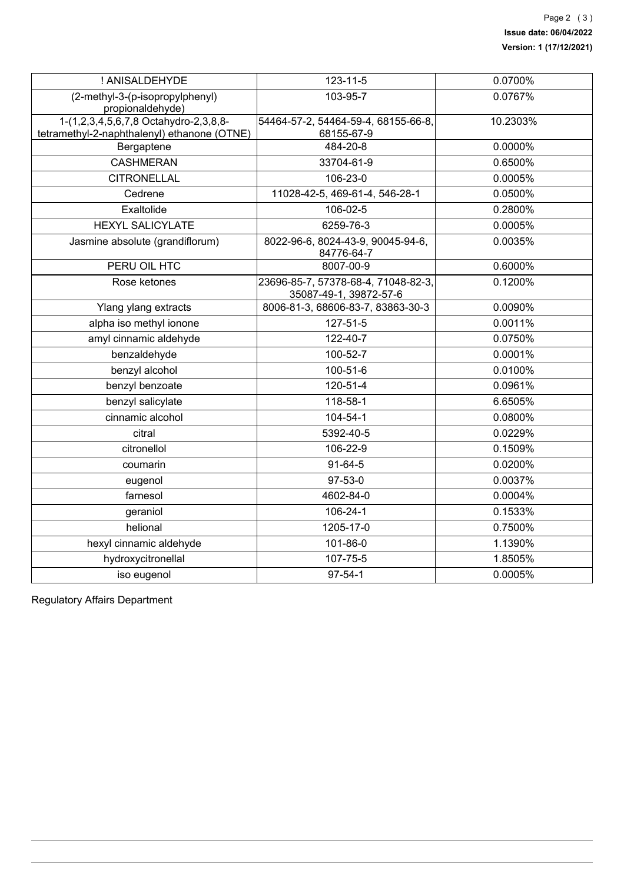| ! ANISALDEHYDE                                                                       | 123-11-5                                                      | 0.0700%  |
|--------------------------------------------------------------------------------------|---------------------------------------------------------------|----------|
| (2-methyl-3-(p-isopropylphenyl)<br>propionaldehyde)                                  | 103-95-7                                                      | 0.0767%  |
| 1-(1,2,3,4,5,6,7,8 Octahydro-2,3,8,8-<br>tetramethyl-2-naphthalenyl) ethanone (OTNE) | 54464-57-2, 54464-59-4, 68155-66-8,<br>68155-67-9             | 10.2303% |
| Bergaptene                                                                           | 484-20-8                                                      | 0.0000%  |
| <b>CASHMERAN</b>                                                                     | 33704-61-9                                                    | 0.6500%  |
| <b>CITRONELLAL</b>                                                                   | 106-23-0                                                      | 0.0005%  |
| Cedrene                                                                              | 11028-42-5, 469-61-4, 546-28-1                                | 0.0500%  |
| Exaltolide                                                                           | 106-02-5                                                      | 0.2800%  |
| <b>HEXYL SALICYLATE</b>                                                              | 6259-76-3                                                     | 0.0005%  |
| Jasmine absolute (grandiflorum)                                                      | 8022-96-6, 8024-43-9, 90045-94-6,<br>84776-64-7               | 0.0035%  |
| PERU OIL HTC                                                                         | 8007-00-9                                                     | 0.6000%  |
| Rose ketones                                                                         | 23696-85-7, 57378-68-4, 71048-82-3,<br>35087-49-1, 39872-57-6 | 0.1200%  |
| Ylang ylang extracts                                                                 | 8006-81-3, 68606-83-7, 83863-30-3                             | 0.0090%  |
| alpha iso methyl ionone                                                              | 127-51-5                                                      | 0.0011%  |
| amyl cinnamic aldehyde                                                               | 122-40-7                                                      | 0.0750%  |
| benzaldehyde                                                                         | 100-52-7                                                      | 0.0001%  |
| benzyl alcohol                                                                       | 100-51-6                                                      | 0.0100%  |
| benzyl benzoate                                                                      | 120-51-4                                                      | 0.0961%  |
| benzyl salicylate                                                                    | 118-58-1                                                      | 6.6505%  |
| cinnamic alcohol                                                                     | 104-54-1                                                      | 0.0800%  |
| citral                                                                               | 5392-40-5                                                     | 0.0229%  |
| citronellol                                                                          | 106-22-9                                                      | 0.1509%  |
| coumarin                                                                             | 91-64-5                                                       | 0.0200%  |
| eugenol                                                                              | 97-53-0                                                       | 0.0037%  |
| farnesol                                                                             | 4602-84-0                                                     | 0.0004%  |
| geraniol                                                                             | 106-24-1                                                      | 0.1533%  |
| helional                                                                             | 1205-17-0                                                     | 0.7500%  |
| hexyl cinnamic aldehyde                                                              | 101-86-0                                                      | 1.1390%  |
| hydroxycitronellal                                                                   | 107-75-5                                                      | 1.8505%  |
| iso eugenol                                                                          | $97 - 54 - 1$                                                 | 0.0005%  |

Regulatory Affairs Department